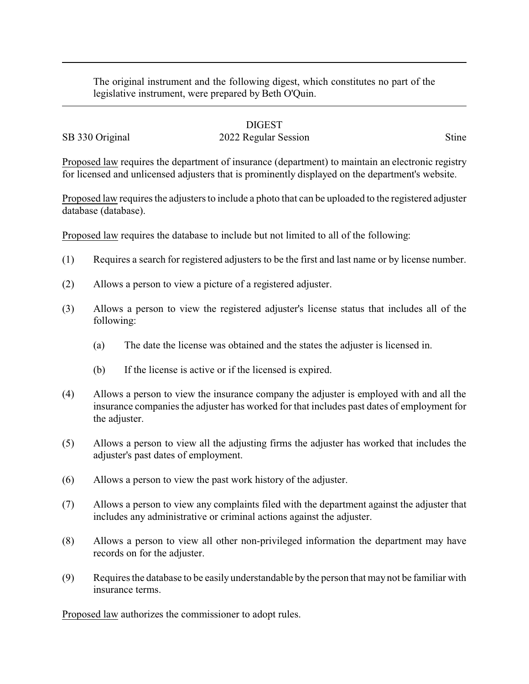The original instrument and the following digest, which constitutes no part of the legislative instrument, were prepared by Beth O'Quin.

## DIGEST

## SB 330 Original 2022 Regular Session Stine

Proposed law requires the department of insurance (department) to maintain an electronic registry for licensed and unlicensed adjusters that is prominently displayed on the department's website.

Proposed law requires the adjusters to include a photo that can be uploaded to the registered adjuster database (database).

Proposed law requires the database to include but not limited to all of the following:

- (1) Requires a search for registered adjusters to be the first and last name or by license number.
- (2) Allows a person to view a picture of a registered adjuster.
- (3) Allows a person to view the registered adjuster's license status that includes all of the following:
	- (a) The date the license was obtained and the states the adjuster is licensed in.
	- (b) If the license is active or if the licensed is expired.
- (4) Allows a person to view the insurance company the adjuster is employed with and all the insurance companies the adjuster has worked for that includes past dates of employment for the adjuster.
- (5) Allows a person to view all the adjusting firms the adjuster has worked that includes the adjuster's past dates of employment.
- (6) Allows a person to view the past work history of the adjuster.
- (7) Allows a person to view any complaints filed with the department against the adjuster that includes any administrative or criminal actions against the adjuster.
- (8) Allows a person to view all other non-privileged information the department may have records on for the adjuster.
- (9) Requires the database to be easily understandable by the person that may not be familiar with insurance terms.

Proposed law authorizes the commissioner to adopt rules.